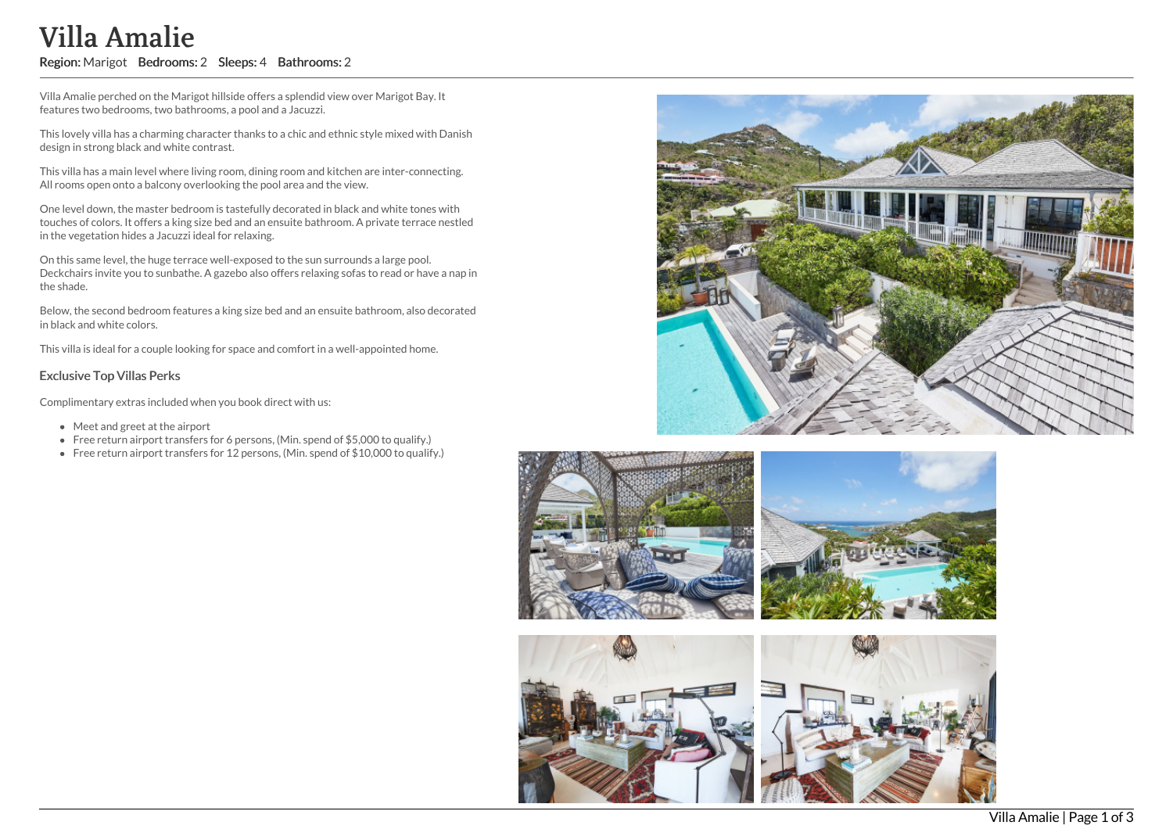## Villa Amalie

## Region: Marigot Bedrooms: 2 Sleeps: 4 Bathrooms: 2

Villa Amalie perched on the Marigot hillside offers a splendid view over Marigot Bay. It features two bedrooms, two bathrooms, a pool and a Jacuzzi.

This lovely villa has a charming character thanks to a chic and ethnic style mixed with Danish design in strong black and white contrast.

This villa has a main level where living room, dining room and kitchen are inter-connecting. All rooms open onto a balcony overlooking the pool area and the view.

One level down, the master bedroom is tastefully decorated in black and white tones with touches of colors. It offers a king size bed and an ensuite bathroom. A private terrace nestled in the vegetation hides a Jacuzzi ideal for relaxing.

On this same level, the huge terrace well-exposed to the sun surrounds a large pool. Deckchairs invite you to sunbathe. A gazebo also offers relaxing sofas to read or have a nap in the shade.

Below, the second bedroom features a king size bed and an ensuite bathroom, also decorated in black and white colors.

This villa is ideal for a couple looking for space and comfort in a well-appointed home.

## Exclusive Top Villas Perks

Complimentary extras included when you book direct with us:

- Meet and greet at the airport
- Free return airport transfers for 6 persons, (Min. spend of \$5,000 to qualify.)
- Free return airport transfers for 12 persons, (Min. spend of \$10,000 to qualify.)



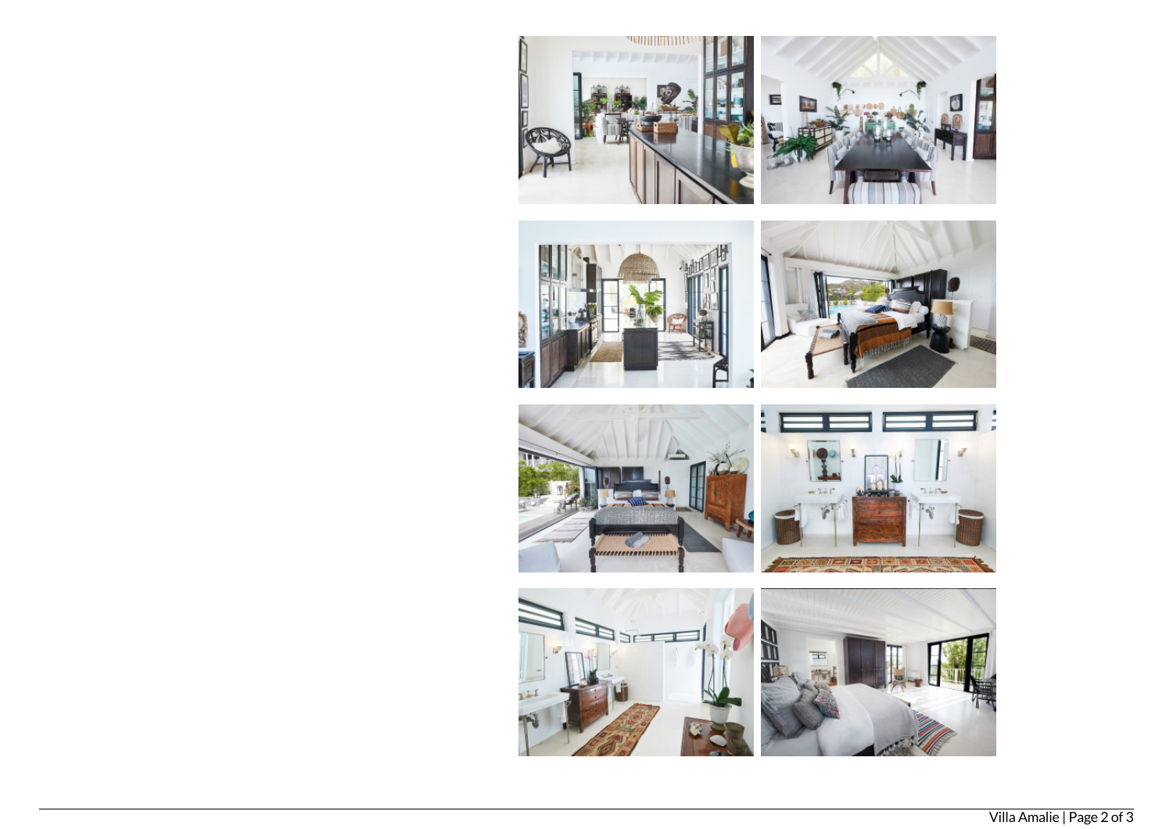





,,,,,,,,,,,,,,,,,,,,